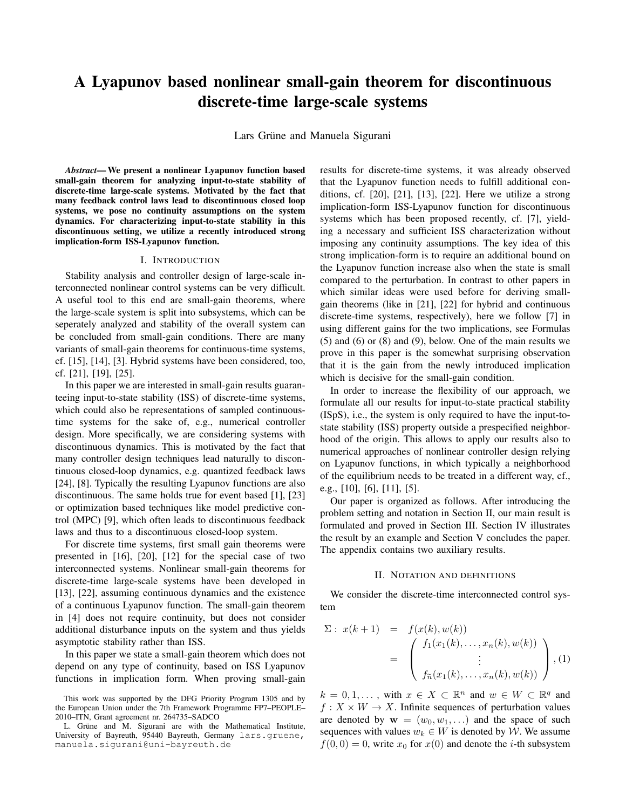# A Lyapunov based nonlinear small-gain theorem for discontinuous discrete-time large-scale systems

Lars Grüne and Manuela Sigurani

*Abstract*— We present a nonlinear Lyapunov function based small-gain theorem for analyzing input-to-state stability of discrete-time large-scale systems. Motivated by the fact that many feedback control laws lead to discontinuous closed loop systems, we pose no continuity assumptions on the system dynamics. For characterizing input-to-state stability in this discontinuous setting, we utilize a recently introduced strong implication-form ISS-Lyapunov function.

#### I. INTRODUCTION

Stability analysis and controller design of large-scale interconnected nonlinear control systems can be very difficult. A useful tool to this end are small-gain theorems, where the large-scale system is split into subsystems, which can be seperately analyzed and stability of the overall system can be concluded from small-gain conditions. There are many variants of small-gain theorems for continuous-time systems, cf. [15], [14], [3]. Hybrid systems have been considered, too, cf. [21], [19], [25].

In this paper we are interested in small-gain results guaranteeing input-to-state stability (ISS) of discrete-time systems, which could also be representations of sampled continuoustime systems for the sake of, e.g., numerical controller design. More specifically, we are considering systems with discontinuous dynamics. This is motivated by the fact that many controller design techniques lead naturally to discontinuous closed-loop dynamics, e.g. quantized feedback laws [24], [8]. Typically the resulting Lyapunov functions are also discontinuous. The same holds true for event based [1], [23] or optimization based techniques like model predictive control (MPC) [9], which often leads to discontinuous feedback laws and thus to a discontinuous closed-loop system.

For discrete time systems, first small gain theorems were presented in [16], [20], [12] for the special case of two interconnected systems. Nonlinear small-gain theorems for discrete-time large-scale systems have been developed in [13], [22], assuming continuous dynamics and the existence of a continuous Lyapunov function. The small-gain theorem in [4] does not require continuity, but does not consider additional disturbance inputs on the system and thus yields asymptotic stability rather than ISS.

In this paper we state a small-gain theorem which does not depend on any type of continuity, based on ISS Lyapunov functions in implication form. When proving small-gain

results for discrete-time systems, it was already observed that the Lyapunov function needs to fulfill additional conditions, cf. [20], [21], [13], [22]. Here we utilize a strong implication-form ISS-Lyapunov function for discontinuous systems which has been proposed recently, cf. [7], yielding a necessary and sufficient ISS characterization without imposing any continuity assumptions. The key idea of this strong implication-form is to require an additional bound on the Lyapunov function increase also when the state is small compared to the perturbation. In contrast to other papers in which similar ideas were used before for deriving smallgain theorems (like in [21], [22] for hybrid and continuous discrete-time systems, respectively), here we follow [7] in using different gains for the two implications, see Formulas (5) and (6) or (8) and (9), below. One of the main results we prove in this paper is the somewhat surprising observation that it is the gain from the newly introduced implication which is decisive for the small-gain condition.

In order to increase the flexibility of our approach, we formulate all our results for input-to-state practical stability (ISpS), i.e., the system is only required to have the input-tostate stability (ISS) property outside a prespecified neighborhood of the origin. This allows to apply our results also to numerical approaches of nonlinear controller design relying on Lyapunov functions, in which typically a neighborhood of the equilibrium needs to be treated in a different way, cf., e.g., [10], [6], [11], [5].

Our paper is organized as follows. After introducing the problem setting and notation in Section II, our main result is formulated and proved in Section III. Section IV illustrates the result by an example and Section V concludes the paper. The appendix contains two auxiliary results.

## II. NOTATION AND DEFINITIONS

We consider the discrete-time interconnected control system

$$
\Sigma: x(k+1) = f(x(k), w(k))
$$
  
= 
$$
\begin{pmatrix} f_1(x_1(k),...,x_n(k), w(k)) \\ \vdots \\ f_{\tilde{n}}(x_1(k),...,x_n(k), w(k)) \end{pmatrix}
$$
, (1)

 $k = 0, 1, \ldots$ , with  $x \in X \subset \mathbb{R}^n$  and  $w \in W \subset \mathbb{R}^q$  and  $f: X \times W \rightarrow X$ . Infinite sequences of perturbation values are denoted by  $\mathbf{w} = (w_0, w_1, \ldots)$  and the space of such sequences with values  $w_k \in W$  is denoted by W. We assume  $f(0, 0) = 0$ , write  $x_0$  for  $x(0)$  and denote the *i*-th subsystem

This work was supported by the DFG Priority Program 1305 and by the European Union under the 7th Framework Programme FP7–PEOPLE– 2010–ITN, Grant agreement nr. 264735–SADCO

L. Grüne and M. Sigurani are with the Mathematical Institute, University of Bayreuth, 95440 Bayreuth, Germany lars.gruene, manuela.sigurani@uni-bayreuth.de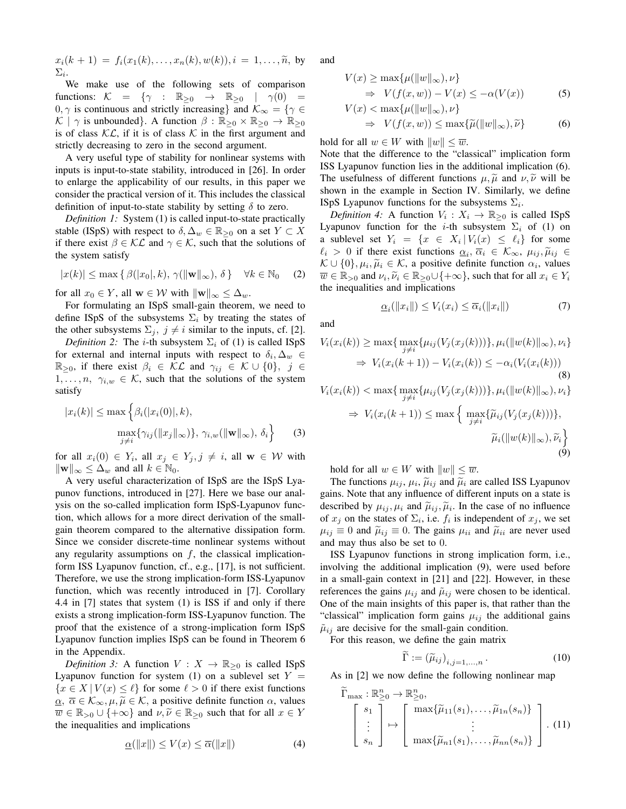$$
x_i(k + 1) = f_i(x_1(k),...,x_n(k),w(k)), i = 1,...,\tilde{n},
$$
 by  $\Sigma_i$ .

We make use of the following sets of comparison functions:  $\mathcal{K} = \{ \gamma : \mathbb{R}_{\geq 0} \rightarrow \mathbb{R}_{\geq 0} \mid \gamma(0) =$  $0, \gamma$  is continuous and strictly increasing} and  $\mathcal{K}_{\infty} = \{ \gamma \in$  $\mathcal{K}$  |  $\gamma$  is unbounded}. A function  $\beta : \mathbb{R}_{\geq 0} \times \mathbb{R}_{\geq 0} \to \mathbb{R}_{\geq 0}$ is of class  $\mathcal{KL}$ , if it is of class  $\mathcal K$  in the first argument and strictly decreasing to zero in the second argument.

A very useful type of stability for nonlinear systems with inputs is input-to-state stability, introduced in [26]. In order to enlarge the applicability of our results, in this paper we consider the practical version of it. This includes the classical definition of input-to-state stability by setting  $\delta$  to zero.

*Definition 1:* System (1) is called input-to-state practically stable (ISpS) with respect to  $\delta, \Delta_w \in \mathbb{R}_{\geq 0}$  on a set  $Y \subset X$ if there exist  $\beta \in \mathcal{KL}$  and  $\gamma \in \mathcal{K}$ , such that the solutions of the system satisfy

$$
|x(k)| \le \max\left\{ \beta(|x_0|, k), \, \gamma(\|\mathbf{w}\|_{\infty}), \, \delta \right\} \quad \forall k \in \mathbb{N}_0 \quad (2)
$$

for all  $x_0 \in Y$ , all  $\mathbf{w} \in \mathcal{W}$  with  $\|\mathbf{w}\|_{\infty} \leq \Delta_w$ .

For formulating an ISpS small-gain theorem, we need to define ISpS of the subsystems  $\Sigma_i$  by treating the states of the other subsystems  $\Sigma_j$ ,  $j \neq i$  similar to the inputs, cf. [2].

*Definition 2:* The *i*-th subsystem  $\Sigma_i$  of (1) is called ISpS for external and internal inputs with respect to  $\delta_i, \Delta_w \in$  $\mathbb{R}_{\geq 0}$ , if there exist  $\beta_i \in \mathcal{KL}$  and  $\gamma_{ij} \in \mathcal{K} \cup \{0\}, \; j \in$  $1, \ldots, n, \gamma_{i,w} \in \mathcal{K}$ , such that the solutions of the system satisfy

$$
|x_i(k)| \le \max\left\{\beta_i(|x_i(0)|, k),
$$

$$
\max_{\substack{j \neq i}} \{\gamma_{ij}(\|x_j\|_{\infty})\}, \gamma_{i,w}(\|\mathbf{w}\|_{\infty}), \delta_i\right\} \tag{3}
$$

for all  $x_i(0) \in Y_i$ , all  $x_j \in Y_j$ ,  $j \neq i$ , all  $\mathbf{w} \in \mathcal{W}$  with  $\|\mathbf{w}\|_{\infty} \leq \Delta_w$  and all  $k \in \mathbb{N}_0$ .

A very useful characterization of ISpS are the ISpS Lyapunov functions, introduced in [27]. Here we base our analysis on the so-called implication form ISpS-Lyapunov function, which allows for a more direct derivation of the smallgain theorem compared to the alternative dissipation form. Since we consider discrete-time nonlinear systems without any regularity assumptions on  $f$ , the classical implicationform ISS Lyapunov function, cf., e.g., [17], is not sufficient. Therefore, we use the strong implication-form ISS-Lyapunov function, which was recently introduced in [7]. Corollary 4.4 in [7] states that system (1) is ISS if and only if there exists a strong implication-form ISS-Lyapunov function. The proof that the existence of a strong-implication form ISpS Lyapunov function implies ISpS can be found in Theorem 6 in the Appendix.

*Definition 3:* A function  $V : X \to \mathbb{R}_{\geq 0}$  is called ISpS Lyapunov function for system (1) on a sublevel set  $Y =$  ${x \in X | V(x) \leq \ell}$  for some  $\ell > 0$  if there exist functions  $\underline{\alpha}$ ,  $\overline{\alpha} \in \mathcal{K}_{\infty}, \mu, \widetilde{\mu} \in \mathcal{K}$ , a positive definite function  $\alpha$ , values  $\overline{w} \in \mathbb{R}_{>0} \cup \{+\infty\}$  and  $\nu, \widetilde{\nu} \in \mathbb{R}_{\geq 0}$  such that for all  $x \in Y$ the inequalities and implications

$$
\underline{\alpha}(\|x\|) \le V(x) \le \overline{\alpha}(\|x\|) \tag{4}
$$

and

$$
V(x) \ge \max\{\mu(\|w\|_{\infty}), \nu\}
$$
  
\n
$$
\Rightarrow V(f(x, w)) - V(x) \le -\alpha(V(x))
$$
 (5)

$$
V(x) < \max\{\mu(\|w\|_{\infty}), \nu\}
$$
  
\n
$$
\Rightarrow V(f(x, w)) \le \max\{\tilde{\mu}(\|w\|_{\infty}), \tilde{\nu}\}
$$
 (6)

hold for all  $w \in W$  with  $||w|| \leq \overline{w}$ .

Note that the difference to the "classical" implication form ISS Lyapunov function lies in the additional implication (6). The usefulness of different functions  $\mu$ ,  $\tilde{\mu}$  and  $\nu$ ,  $\tilde{\nu}$  will be shown in the example in Section IV. Similarly, we define ISpS Lyapunov functions for the subsystems  $\Sigma_i$ .

*Definition 4:* A function  $V_i: X_i \to \mathbb{R}_{\geq 0}$  is called ISpS Lyapunov function for the *i*-th subsystem  $\Sigma_i$  of (1) on a sublevel set  $Y_i = \{x \in X_i | V_i(x) \leq \ell_i\}$  for some  $\ell_i > 0$  if there exist functions  $\underline{\alpha}_i, \overline{\alpha}_i \in \mathcal{K}_{\infty}$ ,  $\mu_{ij}, \widetilde{\mu}_{ij} \in \mathcal{K} \cup \{0\}$ ,  $\mu_i, \widetilde{\mu}_i \in \mathcal{K}$ , a positive definite function  $\underline{\alpha}_i$ , values  $\mathcal{K} \cup \{0\}, \mu_i, \widetilde{\mu}_i \in \mathcal{K}$ , a positive definite function  $\alpha_i$ , values<br> $\overline{w} \in \mathbb{R}$ , and  $\mu_i, \widetilde{\mu}_i \in \mathbb{R}$ , all  $[1+\infty]$ , such that for all  $x_i \in V$ .  $\overline{w} \in \mathbb{R}_{\geq 0}$  and  $\nu_i, \widetilde{\nu}_i \in \mathbb{R}_{\geq 0} \cup \{+\infty\}$ , such that for all  $x_i \in Y_i$ <br>the inequalities and implications the inequalities and implications

$$
\underline{\alpha}_i(\|x_i\|) \le V_i(x_i) \le \overline{\alpha}_i(\|x_i\|) \tag{7}
$$

(9)

and

$$
V_i(x_i(k)) \ge \max\{\max_{j \neq i} \{\mu_{ij}(V_j(x_j(k)))\}, \mu_i(\|w(k)\|_{\infty}), \nu_i\}
$$
  
\n
$$
\Rightarrow V_i(x_i(k+1)) - V_i(x_i(k)) \le -\alpha_i(V_i(x_i(k)))
$$
  
\n(8)  
\n
$$
V_i(x_i(k)) < \max\{\max_{j \neq i} \{\mu_{ij}(V_j(x_j(k)))\}, \mu_i(\|w(k)\|_{\infty}), \nu_i\}
$$
  
\n
$$
\Rightarrow V_i(x_i(k+1)) \le \max\left\{\max_{j \neq i} \{\widetilde{\mu}_{ij}(V_j(x_j(k)))\},
$$
  
\n
$$
\widetilde{\mu}_i(\|w(k)\|_{\infty}), \widetilde{\nu}_i\right\}
$$

hold for all  $w \in W$  with  $||w|| \leq \overline{w}$ .

The functions  $\mu_{ij}$ ,  $\mu_i$ ,  $\tilde{\mu}_{ij}$  and  $\tilde{\mu}_i$  are called ISS Lyapunov<br>inc. Note that any influence of different inputs on a state is gains. Note that any influence of different inputs on a state is described by  $\mu_{ij}$ ,  $\mu_i$  and  $\tilde{\mu}_{ij}$ ,  $\tilde{\mu}_i$ . In the case of no influence<br>of  $x_i$  on the states of  $\Sigma_i$ , i.e. f. is independent of  $x_i$ , we set of  $x_j$  on the states of  $\Sigma_i$ , i.e.  $f_i$  is independent of  $x_j$ , we set  $\mu_{ij} \equiv 0$  and  $\tilde{\mu}_{ij} \equiv 0$ . The gains  $\mu_{ii}$  and  $\tilde{\mu}_{ii}$  are never used and may thus also be set to 0.

ISS Lyapunov functions in strong implication form, i.e., involving the additional implication (9), were used before in a small-gain context in [21] and [22]. However, in these references the gains  $\mu_{ij}$  and  $\tilde{\mu}_{ij}$  were chosen to be identical. One of the main insights of this paper is, that rather than the "classical" implication form gains  $\mu_{ij}$  the additional gains  $\tilde{\mu}_{ij}$  are decisive for the small-gain condition.

For this reason, we define the gain matrix

$$
\Gamma := \left(\widetilde{\mu}_{ij}\right)_{i,j=1,\dots,n}.\tag{10}
$$

As in [2] we now define the following nonlinear map

$$
\widetilde{\Gamma}_{\max} : \mathbb{R}_{\geq 0}^n \to \mathbb{R}_{\geq 0}^n,
$$
\n
$$
\begin{bmatrix}\ns_1 \\
\vdots \\
s_n\n\end{bmatrix}\n\mapsto\n\begin{bmatrix}\n\max\{\widetilde{\mu}_{11}(s_1), \ldots, \widetilde{\mu}_{1n}(s_n)\} \\
\vdots \\
\max\{\widetilde{\mu}_{n1}(s_1), \ldots, \widetilde{\mu}_{nn}(s_n)\}\n\end{bmatrix}.
$$
\n(11)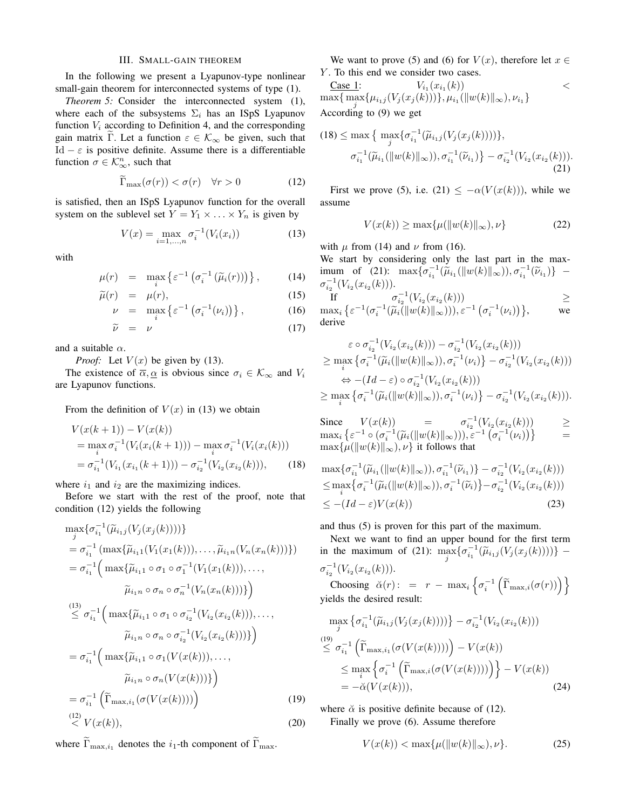### III. SMALL-GAIN THEOREM

In the following we present a Lyapunov-type nonlinear small-gain theorem for interconnected systems of type (1).

*Theorem 5:* Consider the interconnected system (1), where each of the subsystems  $\Sigma_i$  has an ISpS Lyapunov function  $V_i$  according to Definition 4, and the corresponding gain matrix Γ. Let a function  $\varepsilon \in \mathcal{K}_{\infty}$  be given, such that Id  $-\varepsilon$  is positive definite. Assume there is a differentiable function  $\sigma \in \mathcal{K}_{\infty}^n$ , such that

$$
\widetilde{\Gamma}_{\text{max}}(\sigma(r)) < \sigma(r) \quad \forall r > 0 \tag{12}
$$

is satisfied, then an ISpS Lyapunov function for the overall system on the sublevel set  $Y = Y_1 \times \ldots \times Y_n$  is given by

$$
V(x) = \max_{i=1,\dots,n} \sigma_i^{-1}(V_i(x_i))
$$
 (13)

with

$$
\mu(r) = \max_{i} \left\{ \varepsilon^{-1} \left( \sigma_i^{-1} \left( \widetilde{\mu}_i(r) \right) \right) \right\}, \tag{14}
$$

$$
\widetilde{\mu}(r) = \mu(r),\tag{15}
$$

$$
\nu = \max_{i} \left\{ \varepsilon^{-1} \left( \sigma_i^{-1} (\nu_i) \right) \right\}, \tag{16}
$$

$$
\widetilde{\nu} = \nu \tag{17}
$$

and a suitable  $\alpha$ .

*Proof:* Let  $V(x)$  be given by (13).

The existence of  $\overline{\alpha}, \underline{\alpha}$  is obvious since  $\sigma_i \in \mathcal{K}_{\infty}$  and  $V_i$ are Lyapunov functions.

From the definition of  $V(x)$  in (13) we obtain

$$
V(x(k+1)) - V(x(k))
$$
  
=  $\max_{i} \sigma_{i}^{-1}(V_{i}(x_{i}(k+1))) - \max_{i} \sigma_{i}^{-1}(V_{i}(x_{i}(k)))$   
=  $\sigma_{i_1}^{-1}(V_{i_1}(x_{i_1}(k+1))) - \sigma_{i_2}^{-1}(V_{i_2}(x_{i_2}(k))),$  (18)

where  $i_1$  and  $i_2$  are the maximizing indices.

Before we start with the rest of the proof, note that condition (12) yields the following

$$
\max_{j} {\{\sigma_{i_1}^{-1}(\widetilde{\mu}_{i_1j}(V_j(x_j(k))))\}}\n= \sigma_{i_1}^{-1} (\max{\{\widetilde{\mu}_{i_11}(V_1(x_1(k))), \ldots, \widetilde{\mu}_{i_1n}(V_n(x_n(k)))\}})\n= \sigma_{i_1}^{-1} (\max{\{\widetilde{\mu}_{i_11} \circ \sigma_1 \circ \sigma_1^{-1}(V_1(x_1(k))), \ldots, \widetilde{\mu}_{i_1n} \circ \sigma_n \circ \sigma_n^{-1}(V_n(x_n(k)))\}})\n\overset{(13)}{\leq} \sigma_{i_1}^{-1} (\max{\{\widetilde{\mu}_{i_11} \circ \sigma_1 \circ \sigma_{i_2}^{-1}(V_{i_2}(x_{i_2}(k))), \ldots, \widetilde{\mu}_{i_1n} \circ \sigma_n \circ \sigma_{i_2}^{-1}(V_{i_2}(x_{i_2}(k))))\}})\n= \sigma_{i_1}^{-1} (\max{\{\widetilde{\mu}_{i_11} \circ \sigma_1(V(x(k))), \ldots, \widetilde{\mu}_{i_1n} \circ \sigma_n(V(x(k))))\}})\n= \sigma_{i_1}^{-1} (\widetilde{\Gamma}_{\max,i_1}(\sigma(V(x(k))))))
$$
\n(19)  
\n(12)  
\n(12)  
\n(10)

where  $\widetilde{\Gamma}_{\max,i_1}$  denotes the  $i_1$ -th component of  $\widetilde{\Gamma}_{\max}$ .

We want to prove (5) and (6) for  $V(x)$ , therefore let  $x \in$ Y. To this end we consider two cases.

Case 1: 
$$
V_{i_1}(x_{i_1}(k))
$$
  
\n $\max{\max_{j} \{\mu_{i_1j}(V_j(x_j(k)))\}, \mu_{i_1}(\|w(k)\|_{\infty}), \nu_{i_1}\}}$   
\nAccording to (9) we get

$$
(18) \leq \max \left\{ \max_{j} \{ \sigma_{i_1}^{-1}(\widetilde{\mu}_{i_1j}(V_j(x_j(k)))) \},\n\sigma_{i_1}^{-1}(\widetilde{\mu}_{i_1}(\|w(k)\|_{\infty})),\n\sigma_{i_1}^{-1}(\widetilde{\nu}_{i_1}) \right\} - \sigma_{i_2}^{-1}(V_{i_2}(x_{i_2}(k))).
$$
\n(21)

First we prove (5), i.e. (21)  $\leq -\alpha(V(x(k)))$ , while we assume

$$
V(x(k)) \ge \max\{\mu(\|w(k)\|_{\infty}), \nu\}
$$
 (22)

with  $\mu$  from (14) and  $\nu$  from (16).

We start by considering only the last part in the maximum of (21):  $\max{\{\sigma_{i_1}^{-1}(\hat{\mu}_{i_1}(\|w(k)\|_{\infty}))\}}, \sigma_{i_1}^{-1}(\hat{\nu}_{i_1})\}$  –  $\sigma_{i_2}^{-1}(V_{i_2}(x_{i_2}(k)))$ .

If  $\sigma_{i_2}^{-1}(V_{i_2}(x_{i_2}(k)))$   $\geq$  $\max_i \left\{ \varepsilon^{-1} (\sigma_i^{-1}(\widetilde{\mu}_i(\Vert w(k) \Vert_\infty))) , \varepsilon^{-1} (\sigma_i^{-1}(\nu_i)) \right\},\qquad \text{we}$ derive

$$
\varepsilon \circ \sigma_{i_2}^{-1}(V_{i_2}(x_{i_2}(k))) - \sigma_{i_2}^{-1}(V_{i_2}(x_{i_2}(k)))
$$
  
\n
$$
\geq \max_i \{ \sigma_i^{-1}(\widetilde{\mu}_i(\|w(k)\|_{\infty})) , \sigma_i^{-1}(\nu_i) \} - \sigma_{i_2}^{-1}(V_{i_2}(x_{i_2}(k)))
$$
  
\n
$$
\Leftrightarrow -(Id - \varepsilon) \circ \sigma_{i_2}^{-1}(V_{i_2}(x_{i_2}(k)))
$$
  
\n
$$
\geq \max_i \{ \sigma_i^{-1}(\widetilde{\mu}_i(\|w(k)\|_{\infty})) , \sigma_i^{-1}(\nu_i) \} - \sigma_{i_2}^{-1}(V_{i_2}(x_{i_2}(k))).
$$

Since  $V(x(k)) = \sigma_{i_2}^{-1}(V_{i_2}(x_{i_2}(k))) \ge$  $\max_i \left\{ \varepsilon^{-1} \circ (\sigma_i^{-1}(\widetilde{\mu}_i(\Vert w(k) \Vert_\infty))) , \varepsilon^{-1} (\sigma_i^{-1}(\nu_i)) \right\}$  =  $\max\{\mu(\|w(k)\|_{\infty}), \nu\}$  it follows that

$$
\max{\{\sigma_{i_1}^{-1}(\widetilde{\mu}_{i_1}(\|w(k)\|_{\infty})),\sigma_{i_1}^{-1}(\widetilde{\nu}_{i_1})\} - \sigma_{i_2}^{-1}(V_{i_2}(x_{i_2}(k)))}
$$
\n
$$
\leq \max_{i} {\{\sigma_i^{-1}(\widetilde{\mu}_{i}(\|w(k)\|_{\infty})),\sigma_i^{-1}(\widetilde{\nu}_{i})\} - \sigma_{i_2}^{-1}(V_{i_2}(x_{i_2}(k)))}
$$
\n
$$
\leq -(Id - \varepsilon)V(x(k))
$$
\n(23)

and thus (5) is proven for this part of the maximum.

Next we want to find an upper bound for the first term in the maximum of (21):  $\max_{j} {\{\sigma_{i_1}^{-1}(\tilde{\mu}_{i_1j}(V_j(x_j(k))))\}}$  –  $\sigma_{i_2}^{-1}(V_{i_2}(x_{i_2}(k)))$ .

Choosing  $\check{\alpha}(r)$ : =  $r - \max_i \left\{ \sigma_i^{-1} \left( \widetilde{\Gamma}_{\max,i}(\sigma(r)) \right) \right\}$ yields the desired result:

$$
\max_{j} \{ \sigma_{i_1}^{-1}(\widetilde{\mu}_{i_1j}(V_j(x_j(k)))) \} - \sigma_{i_2}^{-1}(V_{i_2}(x_{i_2}(k)))
$$
\n
$$
\leq \sigma_{i_1}^{-1} \left( \widetilde{\Gamma}_{\max,i_1}(\sigma(V(x(k)))) \right) - V(x(k))
$$
\n
$$
\leq \max_{i} \{ \sigma_i^{-1} \left( \widetilde{\Gamma}_{\max,i}(\sigma(V(x(k)))) \right) \} - V(x(k))
$$
\n
$$
= -\widetilde{\alpha}(V(x(k))), \tag{24}
$$

where  $\check{\alpha}$  is positive definite because of (12). Finally we prove (6). Assume therefore

$$
V(x(k)) < \max\{\mu(\|w(k)\|_{\infty}), \nu\}.
$$
 (25)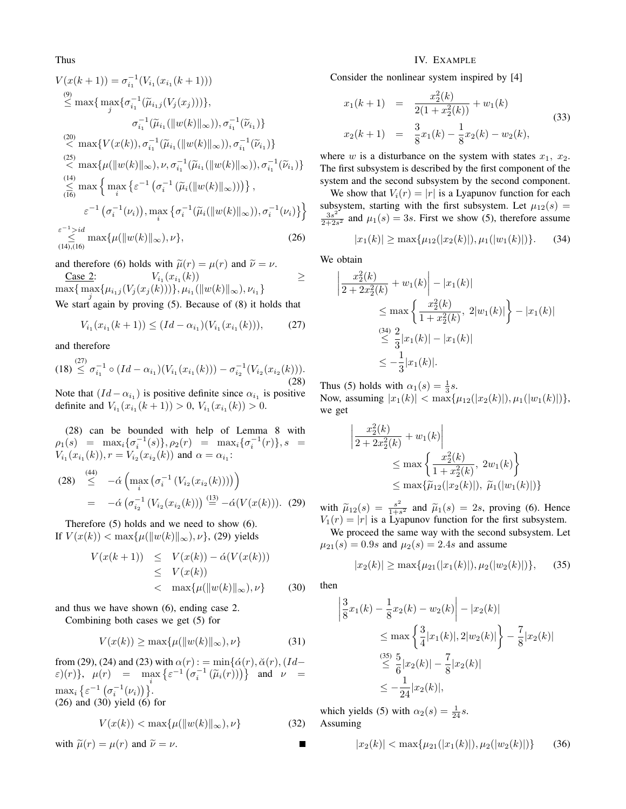Thus

$$
V(x(k + 1)) = \sigma_{i_1}^{-1}(V_{i_1}(x_{i_1}(k + 1)))
$$
  
\n
$$
\overset{(9)}{\leq} \max \{ \max_{j} \{ \sigma_{i_1}^{-1}(\widetilde{\mu}_{i_1j}(V_j(x_j))) \},
$$
  
\n
$$
\sigma_{i_1}^{-1}(\widetilde{\mu}_{i_1}(\|w(k)\|_{\infty})) , \sigma_{i_1}^{-1}(\widetilde{\nu}_{i_1}) \}
$$
  
\n
$$
\overset{(20)}{\leq} \max \{ V(x(k)), \sigma_{i_1}^{-1}(\widetilde{\mu}_{i_1}(\|w(k)\|_{\infty})) , \sigma_{i_1}^{-1}(\widetilde{\nu}_{i_1}) \}
$$
  
\n
$$
\overset{(25)}{\leq} \max \{ \mu(\|w(k)\|_{\infty}), \nu, \sigma_{i_1}^{-1}(\widetilde{\mu}_{i_1}(\|w(k)\|_{\infty})) , \sigma_{i_1}^{-1}(\widetilde{\nu}_{i_1}) \}
$$
  
\n
$$
\overset{(14)}{\leq} \max \{ \max_{i} \{ \varepsilon^{-1} (\sigma_{i}^{-1}(\widetilde{\mu}_{i}(\|w(k)\|_{\infty}))) \},
$$
  
\n
$$
\varepsilon^{-1} (\sigma_{i}^{-1}(\nu_{i})), \max_{i} \{ \sigma_{i}^{-1}(\widetilde{\mu}_{i}(\|w(k)\|_{\infty})) , \sigma_{i}^{-1}(\nu_{i}) \} \}
$$
  
\n
$$
\overset{\varepsilon^{-1} > id}_{\leq} \max \{ \mu(\|w(k)\|_{\infty}), \nu \},
$$
  
\n
$$
\overset{(26)}{\leq} \max \{ \mu(\|w(k)\|_{\infty}), \nu \},
$$

and therefore (6) holds with  $\tilde{\mu}(r) = \mu(r)$  and  $\tilde{\nu} = \nu$ .

Case 2:  $V_{i_1}(x_{i_1}(k))$   $\geq$  $\max\{\max\limits_{j}\{\mu_{i_1j}(V_j(x_j(k)))\}, \mu_{i_1}(\|w(k)\|_\infty), \nu_{i_1}\}$ 

We start again by proving (5). Because of (8) it holds that

$$
V_{i_1}(x_{i_1}(k+1)) \le (Id - \alpha_{i_1})(V_{i_1}(x_{i_1}(k))), \qquad (27)
$$

and therefore

$$
(18) \stackrel{(27)}{\leq} \sigma_{i_1}^{-1} \circ (Id - \alpha_{i_1})(V_{i_1}(x_{i_1}(k))) - \sigma_{i_2}^{-1}(V_{i_2}(x_{i_2}(k))).
$$
\n(28)

Note that  $(Id - \alpha_{i_1})$  is positive definite since  $\alpha_{i_1}$  is positive definite and  $V_{i_1}(x_{i_1}(k+1)) > 0$ ,  $V_{i_1}(x_{i_1}(k)) > 0$ .

(28) can be bounded with help of Lemma 8 with  $\rho_1(s)$  =  $\max_i {\{\sigma_i^{-1}(s)\}, \rho_2(r)}$  =  $\max_i {\{\sigma_i^{-1}(r)\}, s}$  =  $V_{i_1}(x_{i_1}(k)), r = V_{i_2}(x_{i_2}(k))$  and  $\alpha = \alpha_{i_1}$ :

(28) 
$$
\leq
$$
  $-\acute{\alpha} \left( \max_{i} \left( \sigma_{i}^{-1} \left( V_{i_2}(x_{i_2}(k)) \right) \right) \right)$   

$$
= -\acute{\alpha} \left( \sigma_{i_2}^{-1} \left( V_{i_2}(x_{i_2}(k)) \right) \right) \stackrel{(13)}{=} -\acute{\alpha} \left( V(x(k)) \right). (29)
$$

Therefore (5) holds and we need to show (6). If  $V(x(k)) < \max\{\mu(\|w(k)\|_{\infty}), \nu\}$ , (29) yields

$$
V(x(k+1)) \leq V(x(k)) - \acute{\alpha}(V(x(k)))
$$
  
\n
$$
\leq V(x(k))
$$
  
\n
$$
< \max{\mu(\Vert w(k) \Vert_{\infty}, \nu)}
$$
 (30)

and thus we have shown (6), ending case 2. Combining both cases we get (5) for

$$
V(x(k)) \ge \max\{\mu(\|w(k)\|_{\infty}), \nu\}
$$
\n(31)

from (29), (24) and (23) with  $\alpha(r)$ : = min{ $\acute{\alpha}(r),\breve{\alpha}(r),(Id \varepsilon$ )(r)},  $\mu(r)$  = max  $\left\{ \varepsilon^{-1} \left( \sigma_i^{-1} \left( \tilde{\mu}_i(r) \right) \right) \right\}$  and  $\nu$  =  $\max_i \left\{ \varepsilon^{-1} \left( \sigma_i^{-1}(\nu_i) \right) \right\}$ (26) and (30) yield (6) for

$$
V(x(k)) < \max\{\mu(\|w(k)\|_{\infty}), \nu\}
$$
 (32)

with 
$$
\tilde{\mu}(r) = \mu(r)
$$
 and  $\tilde{\nu} = \nu$ .

## IV. EXAMPLE

Consider the nonlinear system inspired by [4]

$$
x_1(k+1) = \frac{x_2^2(k)}{2(1+x_2^2(k))} + w_1(k)
$$
  
\n
$$
x_2(k+1) = \frac{3}{8}x_1(k) - \frac{1}{8}x_2(k) - w_2(k),
$$
\n(33)

where w is a disturbance on the system with states  $x_1, x_2$ . The first subsystem is described by the first component of the system and the second subsystem by the second component.

We show that  $V_i(r) = |r|$  is a Lyapunov function for each subsystem, starting with the first subsystem. Let  $\mu_{12}(s)$  =  $3s^2$  $\frac{3s^2}{2+2s^2}$  and  $\mu_1(s) = 3s$ . First we show (5), therefore assume

$$
|x_1(k)| \ge \max\{\mu_{12}(|x_2(k)|), \mu_1(|w_1(k)|)\}.
$$
 (34)

We obtain

$$
\left| \frac{x_2^2(k)}{2 + 2x_2^2(k)} + w_1(k) \right| - |x_1(k)|
$$
  
\n
$$
\leq \max \left\{ \frac{x_2^2(k)}{1 + x_2^2(k)}, 2|w_1(k)| \right\} - |x_1(k)|
$$
  
\n
$$
\leq \frac{34}{3} |x_1(k)| - |x_1(k)|
$$
  
\n
$$
\leq -\frac{1}{3} |x_1(k)|.
$$

Thus (5) holds with  $\alpha_1(s) = \frac{1}{3}s$ . Now, assuming  $|x_1(k)| < \max{\mu_{12}(|x_2(k)|), \mu_1(|w_1(k)|)}$ , we get

$$
\left| \frac{x_2^2(k)}{2 + 2x_2^2(k)} + w_1(k) \right|
$$
  
\n
$$
\leq \max \left\{ \frac{x_2^2(k)}{1 + x_2^2(k)}, 2w_1(k) \right\}
$$
  
\n
$$
\leq \max \{ \tilde{\mu}_{12}(|x_2(k)|), \ \tilde{\mu}_1(|w_1(k)|) \}
$$

with  $\widetilde{\mu}_{12}(s) = \frac{s^2}{1+s}$  $\frac{s^2}{1+s^2}$  and  $\tilde{\mu}_1(s) = 2s$ , proving (6). Hence  $V_1(r) = |r|$  is a Lyapunov function for the first subsystem.

We proceed the same way with the second subsystem. Let  $\mu_{21}(s) = 0.9s$  and  $\mu_2(s) = 2.4s$  and assume

$$
|x_2(k)| \ge \max\{\mu_{21}(|x_1(k)|), \mu_2(|w_2(k)|)\},\qquad (35)
$$

then

$$
\left| \frac{3}{8}x_1(k) - \frac{1}{8}x_2(k) - w_2(k) \right| - |x_2(k)|
$$
  
\n
$$
\leq \max \left\{ \frac{3}{4} |x_1(k)|, 2|w_2(k)| \right\} - \frac{7}{8} |x_2(k)|
$$
  
\n
$$
\leq \frac{35}{6} |x_2(k)| - \frac{7}{8} |x_2(k)|
$$
  
\n
$$
\leq -\frac{1}{24} |x_2(k)|,
$$

which yields (5) with  $\alpha_2(s) = \frac{1}{24}s$ . Assuming

$$
|x_2(k)| < \max\{\mu_{21}(|x_1(k)|), \mu_2(|w_2(k)|)\}\tag{36}
$$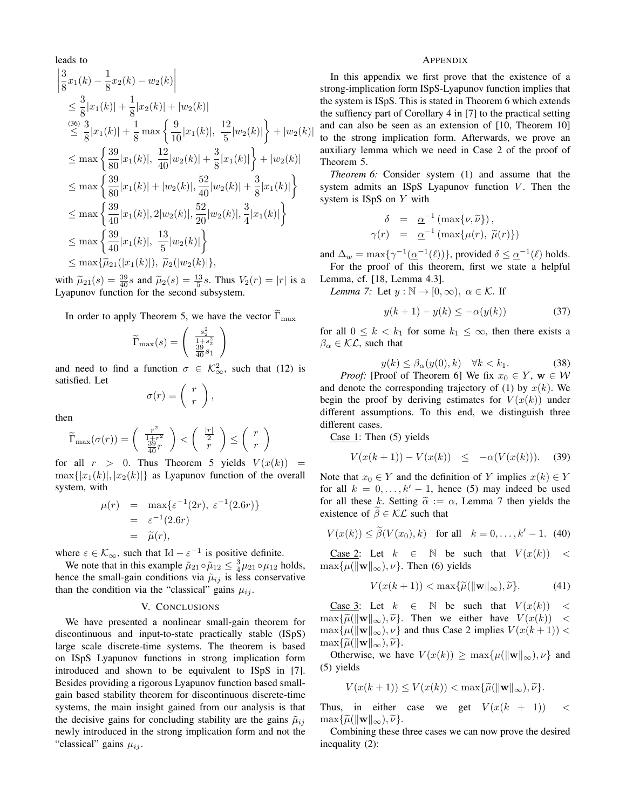leads to  
\n
$$
\begin{aligned}\n&\left|\frac{3}{8}x_1(k) - \frac{1}{8}x_2(k) - w_2(k)\right| \\
&\leq \frac{3}{8}|x_1(k)| + \frac{1}{8}|x_2(k)| + |w_2(k)| \\
&\leq \frac{3}{8}|x_1(k)| + \frac{1}{8}\max\left\{\frac{9}{10}|x_1(k)|, \frac{12}{5}|w_2(k)|\right\} + |w_2(k)| \\
&\leq \max\left\{\frac{39}{80}|x_1(k)|, \frac{12}{40}|w_2(k)| + \frac{3}{8}|x_1(k)|\right\} + |w_2(k)| \\
&\leq \max\left\{\frac{39}{80}|x_1(k)| + |w_2(k)|, \frac{52}{40}|w_2(k)| + \frac{3}{8}|x_1(k)|\right\} \\
&\leq \max\left\{\frac{39}{40}|x_1(k)|, 2|w_2(k)|, \frac{52}{20}|w_2(k)|, \frac{3}{4}|x_1(k)|\right\} \\
&\leq \max\left\{\frac{39}{40}|x_1(k)|, \frac{13}{5}|w_2(k)|\right\} \\
&\leq \max\{\tilde{\mu}_{21}(|x_1(k)|), \tilde{\mu}_2(|w_2(k)|),\n\end{aligned}
$$

with  $\tilde{\mu}_{21}(s) = \frac{39}{40} s$  and  $\tilde{\mu}_2(s) = \frac{13}{5} s$ . Thus  $V_2(r) = |r|$  is a Lyapunov function for the second subsystem.

In order to apply Theorem 5, we have the vector  $\widetilde{\Gamma}_{\text{max}}$ 

$$
\widetilde{\Gamma}_{\max}(s) = \left(\begin{array}{c} \frac{s_2^2}{1+s_2^2} \\ \frac{39}{40}s_1 \end{array}\right)
$$

and need to find a function  $\sigma \in \mathcal{K}^2_{\infty}$ , such that (12) is satisfied. Let

$$
\sigma(r) = \left(\begin{array}{c} r \\ r \end{array}\right)
$$

,

then

$$
\widetilde{\Gamma}_{\max}(\sigma(r)) = \left(\begin{array}{c} \frac{r^2}{1+r^2} \\ \frac{39}{40}r \end{array}\right) < \left(\begin{array}{c} \frac{|r|}{2} \\ r \end{array}\right) \leq \left(\begin{array}{c} r \\ r \end{array}\right)
$$

for all  $r > 0$ . Thus Theorem 5 yields  $V(x(k)) =$  $\max\{|x_1(k)|, |x_2(k)|\}$  as Lyapunov function of the overall system, with

$$
\mu(r) = \max\{\varepsilon^{-1}(2r), \varepsilon^{-1}(2.6r)\}
$$
  
=  $\varepsilon^{-1}(2.6r)$   
=  $\widetilde{\mu}(r)$ ,

where  $\varepsilon \in \mathcal{K}_{\infty}$ , such that Id –  $\varepsilon^{-1}$  is positive definite.

We note that in this example  $\tilde{\mu}_{21} \circ \tilde{\mu}_{12} \leq \frac{3}{4} \mu_{21} \circ \mu_{12}$  holds, hence the small-gain conditions via  $\tilde{\mu}_{ij}$  is less conservative than the condition via the "classical" gains  $\mu_{ij}$ .

## V. CONCLUSIONS

We have presented a nonlinear small-gain theorem for discontinuous and input-to-state practically stable (ISpS) large scale discrete-time systems. The theorem is based on ISpS Lyapunov functions in strong implication form introduced and shown to be equivalent to ISpS in [7]. Besides providing a rigorous Lyapunov function based smallgain based stability theorem for discontinuous discrete-time systems, the main insight gained from our analysis is that the decisive gains for concluding stability are the gains  $\tilde{\mu}_{ij}$ newly introduced in the strong implication form and not the "classical" gains  $\mu_{ij}$ .

### APPENDIX

In this appendix we first prove that the existence of a strong-implication form ISpS-Lyapunov function implies that the system is ISpS. This is stated in Theorem 6 which extends the suffiency part of Corollary 4 in [7] to the practical setting and can also be seen as an extension of [10, Theorem 10] to the strong implication form. Afterwards, we prove an auxiliary lemma which we need in Case 2 of the proof of Theorem 5.

*Theorem 6:* Consider system (1) and assume that the system admits an ISpS Lyapunov function  $V$ . Then the system is ISpS on Y with

$$
\delta = \underline{\alpha}^{-1} (\max\{\nu, \tilde{\nu}\}),
$$
  

$$
\gamma(r) = \underline{\alpha}^{-1} (\max\{\mu(r), \tilde{\mu}(r)\})
$$

and  $\Delta_w = \max\{\gamma^{-1}(\underline{\alpha}^{-1}(\ell))\}$ , provided  $\delta \leq \underline{\alpha}^{-1}(\ell)$  holds.

For the proof of this theorem, first we state a helpful Lemma, cf. [18, Lemma 4.3].

*Lemma 7:* Let  $y : \mathbb{N} \to [0, \infty)$ ,  $\alpha \in \mathcal{K}$ . If

$$
y(k+1) - y(k) \le -\alpha(y(k))\tag{37}
$$

for all  $0 \leq k < k_1$  for some  $k_1 \leq \infty$ , then there exists a  $\beta_{\alpha} \in \mathcal{KL}$ , such that

$$
y(k) \le \beta_{\alpha}(y(0), k) \quad \forall k < k_1. \tag{38}
$$

*Proof:* [Proof of Theorem 6] We fix  $x_0 \in Y$ ,  $w \in W$ and denote the corresponding trajectory of (1) by  $x(k)$ . We begin the proof by deriving estimates for  $V(x(k))$  under different assumptions. To this end, we distinguish three different cases.

Case  $1$ : Then (5) yields

$$
V(x(k+1)) - V(x(k)) \le -\alpha(V(x(k))). \t(39)
$$

Note that  $x_0 \in Y$  and the definition of Y implies  $x(k) \in Y$ for all  $k = 0, \ldots, k' - 1$ , hence (5) may indeed be used for all these k. Setting  $\tilde{\alpha} := \alpha$ , Lemma 7 then yields the existence of  $\beta \in \mathcal{KL}$  such that

$$
V(x(k)) \le \tilde{\beta}(V(x_0), k)
$$
 for all  $k = 0, ..., k' - 1$ . (40)

Case 2: Let  $k \in \mathbb{N}$  be such that  $V(x(k)) <$  $\max{\mu(\|\mathbf{w}\|_{\infty}), \nu}$ . Then (6) yields

$$
V(x(k+1)) < \max\{\widetilde{\mu}(\|\mathbf{w}\|_{\infty}), \widetilde{\nu}\}. \tag{41}
$$

Case 3: Let  $k \in \mathbb{N}$  be such that  $V(x(k)) <$  $\max{\{\widetilde{\mu}(\|\mathbf{w}\|_{\infty}), \widetilde{\nu}\}}$ . Then we either have  $V(x(k)) <$  $\max{\{\mu(\|\mathbf{w}\|_{\infty}), \nu\}}$  and thus Case 2 implies  $V(x(k+1))$  <  $\max{\{\widetilde{\mu}(\|\mathbf{w}\|_{\infty}), \widetilde{\nu}\}}.$ 

Otherwise, we have  $V(x(k)) \ge \max{\{\mu(\|\mathbf{w}\|_{\infty}), \nu\}}$  and (5) yields

$$
V(x(k+1)) \le V(x(k)) < \max{\{\widetilde{\mu}(\|\mathbf{w}\|_{\infty}), \widetilde{\nu}\}}.
$$

Thus, in either case we get  $V(x(k + 1))$  <  $\max{\{\widetilde{\mu}(\|\mathbf{w}\|_{\infty}), \widetilde{\nu}\}}.$ 

Combining these three cases we can now prove the desired inequality (2):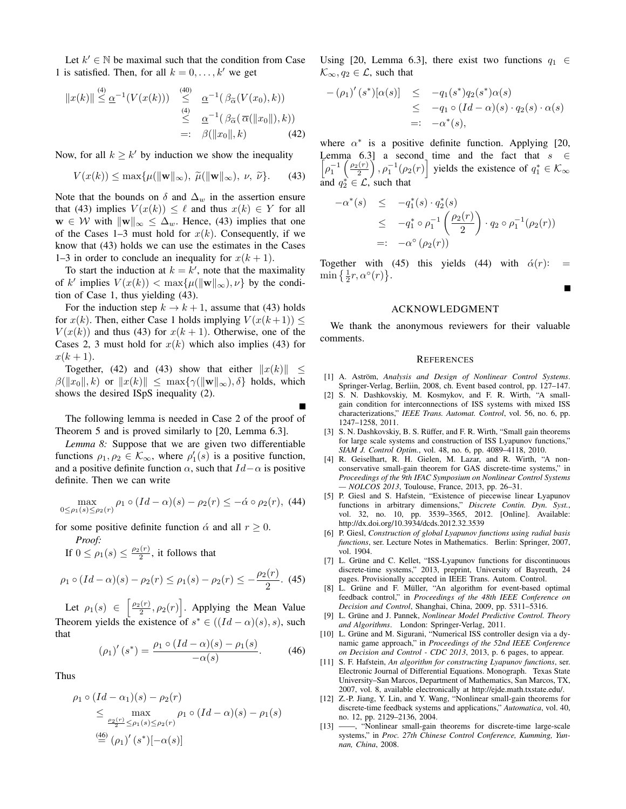Let  $k' \in \mathbb{N}$  be maximal such that the condition from Case 1 is satisfied. Then, for all  $k = 0, \ldots, k'$  we get

$$
||x(k)|| \stackrel{(4)}{\leq} \underline{\alpha}^{-1}(V(x(k))) \stackrel{(40)}{\leq} \underline{\alpha}^{-1}(\beta_{\widetilde{\alpha}}(V(x_0), k))
$$
  
\n
$$
\stackrel{(4)}{\leq} \underline{\alpha}^{-1}(\beta_{\widetilde{\alpha}}(\overline{\alpha}(||x_0||), k))
$$
  
\n
$$
=:\beta(||x_0||, k) \qquad (42)
$$

Now, for all  $k \geq k'$  by induction we show the inequality

$$
V(x(k)) \le \max\{\mu(\|\mathbf{w}\|_{\infty}), \ \widetilde{\mu}(\|\mathbf{w}\|_{\infty}), \ \nu, \ \widetilde{\nu}\}. \tag{43}
$$

Note that the bounds on  $\delta$  and  $\Delta_w$  in the assertion ensure that (43) implies  $V(x(k)) \leq \ell$  and thus  $x(k) \in Y$  for all  $\mathbf{w} \in \mathcal{W}$  with  $\|\mathbf{w}\|_{\infty} \leq \Delta_w$ . Hence, (43) implies that one of the Cases 1–3 must hold for  $x(k)$ . Consequently, if we know that (43) holds we can use the estimates in the Cases 1–3 in order to conclude an inequality for  $x(k + 1)$ .

To start the induction at  $k = k'$ , note that the maximality of k' implies  $V(x(k)) < \max\{\mu(\|\mathbf{w}\|_{\infty}), \nu\}$  by the condition of Case 1, thus yielding (43).

For the induction step  $k \to k+1$ , assume that (43) holds for  $x(k)$ . Then, either Case 1 holds implying  $V(x(k+1)) \leq$  $V(x(k))$  and thus (43) for  $x(k + 1)$ . Otherwise, one of the Cases 2, 3 must hold for  $x(k)$  which also implies (43) for  $x(k+1)$ .

Together, (42) and (43) show that either  $||x(k)||$  <  $\beta(\Vert x_0 \Vert, k)$  or  $\Vert x(k) \Vert \leq \max\{\gamma(\Vert \mathbf{w} \Vert_{\infty}), \delta\}$  holds, which shows the desired ISpS inequality (2).

The following lemma is needed in Case 2 of the proof of Theorem 5 and is proved similarly to [20, Lemma 6.3].

*Lemma 8:* Suppose that we are given two differentiable functions  $\rho_1, \rho_2 \in \mathcal{K}_{\infty}$ , where  $\rho'_1(s)$  is a positive function, and a positive definite function  $\alpha$ , such that  $Id - \alpha$  is positive definite. Then we can write

$$
\max_{0 \le \rho_1(s) \le \rho_2(r)} \rho_1 \circ (Id - \alpha)(s) - \rho_2(r) \le -\dot{\alpha} \circ \rho_2(r), \tag{44}
$$

for some positive definite function  $\dot{\alpha}$  and all  $r \ge 0$ .

*Proof:*

If 
$$
0 \le \rho_1(s) \le \frac{\rho_2(r)}{2}
$$
, it follows that

$$
\rho_1 \circ (Id - \alpha)(s) - \rho_2(r) \le \rho_1(s) - \rho_2(r) \le -\frac{\rho_2(r)}{2}.
$$
 (45)

Let  $\rho_1(s) \in \left[\frac{\rho_2(r)}{2}, \rho_2(r)\right]$ . Applying the Mean Value Theorem yields the existence of  $s^* \in ((Id - \alpha)(s), s)$ , such that

$$
(\rho_1)'(s^*) = \frac{\rho_1 \circ (Id - \alpha)(s) - \rho_1(s)}{-\alpha(s)}.\tag{46}
$$

Thus

$$
\rho_1 \circ (Id - \alpha_1)(s) - \rho_2(r)
$$
\n
$$
\leq \max_{\substack{\rho_2(r) \leq \rho_1(s) \leq \rho_2(r)}} \rho_1 \circ (Id - \alpha)(s) - \rho_1(s)
$$
\n
$$
\stackrel{(46)}{=} (\rho_1)'(s^*)[-\alpha(s)]
$$

Using [20, Lemma 6.3], there exist two functions  $q_1 \in$  $\mathcal{K}_{\infty}, q_2 \in \mathcal{L}$ , such that

$$
-(\rho_1)'(s^*)[\alpha(s)] \leq -q_1(s^*)q_2(s^*)\alpha(s)
$$
  
\n
$$
\leq -q_1 \circ (Id - \alpha)(s) \cdot q_2(s) \cdot \alpha(s)
$$
  
\n
$$
=: -\alpha^*(s),
$$

where  $\alpha^*$  is a positive definite function. Applying [20, Lemma 6.3] a second time and the fact that  $s \in$  $\left[\rho_1^{-1}\left(\frac{\rho_2(r)}{2}\right), \rho_1^{-1}(\rho_2(r)\right]$  yields the existence of  $q_1^* \in \mathcal{K}_{\infty}$ and  $q_2^* \in \mathcal{L}$ , such that

$$
- \alpha^*(s) \leq -q_1^*(s) \cdot q_2^*(s)
$$
  
\n
$$
\leq -q_1^* \circ \rho_1^{-1} \left( \frac{\rho_2(r)}{2} \right) \cdot q_2 \circ \rho_1^{-1} (\rho_2(r))
$$
  
\n
$$
=: -\alpha^{\circ} (\rho_2(r))
$$

Together with (45) this yields (44) with  $\acute{\alpha}(r)$ :  $\min\left\{\frac{1}{2}r, \alpha^{\circ}(r)\right\}.$ 

## ACKNOWLEDGMENT

We thank the anonymous reviewers for their valuable comments.

#### **REFERENCES**

- [1] A. Aström, Analysis and Design of Nonlinear Control Systems. Springer-Verlag, Berliin, 2008, ch. Event based control, pp. 127–147.
- [2] S. N. Dashkovskiy, M. Kosmykov, and F. R. Wirth, "A smallgain condition for interconnections of ISS systems with mixed ISS characterizations," *IEEE Trans. Automat. Control*, vol. 56, no. 6, pp. 1247–1258, 2011.
- [3] S. N. Dashkovskiy, B. S. Rüffer, and F. R. Wirth, "Small gain theorems for large scale systems and construction of ISS Lyapunov functions," *SIAM J. Control Optim.*, vol. 48, no. 6, pp. 4089–4118, 2010.
- [4] R. Geiselhart, R. H. Gielen, M. Lazar, and R. Wirth, "A nonconservative small-gain theorem for GAS discrete-time systems," in *Proceedings of the 9th IFAC Symposium on Nonlinear Control Systems — NOLCOS 2013*, Toulouse, France, 2013, pp. 26–31.
- [5] P. Giesl and S. Hafstein, "Existence of piecewise linear Lyapunov functions in arbitrary dimensions," *Discrete Contin. Dyn. Syst.*, vol. 32, no. 10, pp. 3539–3565, 2012. [Online]. Available: http://dx.doi.org/10.3934/dcds.2012.32.3539
- [6] P. Giesl, *Construction of global Lyapunov functions using radial basis functions*, ser. Lecture Notes in Mathematics. Berlin: Springer, 2007, vol. 1904.
- [7] L. Grüne and C. Kellet, "ISS-Lyapunov functions for discontinuous discrete-time systems," 2013, preprint, University of Bayreuth, 24 pages. Provisionally accepted in IEEE Trans. Autom. Control.
- [8] L. Grüne and F. Müller, "An algorithm for event-based optimal feedback control," in *Proceedings of the 48th IEEE Conference on Decision and Control*, Shanghai, China, 2009, pp. 5311–5316.
- [9] L. Grüne and J. Pannek, *Nonlinear Model Predictive Control. Theory and Algorithms*. London: Springer-Verlag, 2011.
- [10] L. Grüne and M. Sigurani, "Numerical ISS controller design via a dynamic game approach," in *Proceedings of the 52nd IEEE Conference on Decision and Control - CDC 2013*, 2013, p. 6 pages, to appear.
- [11] S. F. Hafstein, *An algorithm for constructing Lyapunov functions*, ser. Electronic Journal of Differential Equations. Monograph. Texas State University–San Marcos, Department of Mathematics, San Marcos, TX, 2007, vol. 8, available electronically at http://ejde.math.txstate.edu/.
- [12] Z.-P. Jiang, Y. Lin, and Y. Wang, "Nonlinear small-gain theorems for discrete-time feedback systems and applications," *Automatica*, vol. 40, no. 12, pp. 2129–2136, 2004.
- [13] ——, "Nonlinear small-gain theorems for discrete-time large-scale systems," in *Proc. 27th Chinese Control Conference, Kumming, Yunnan, China*, 2008.